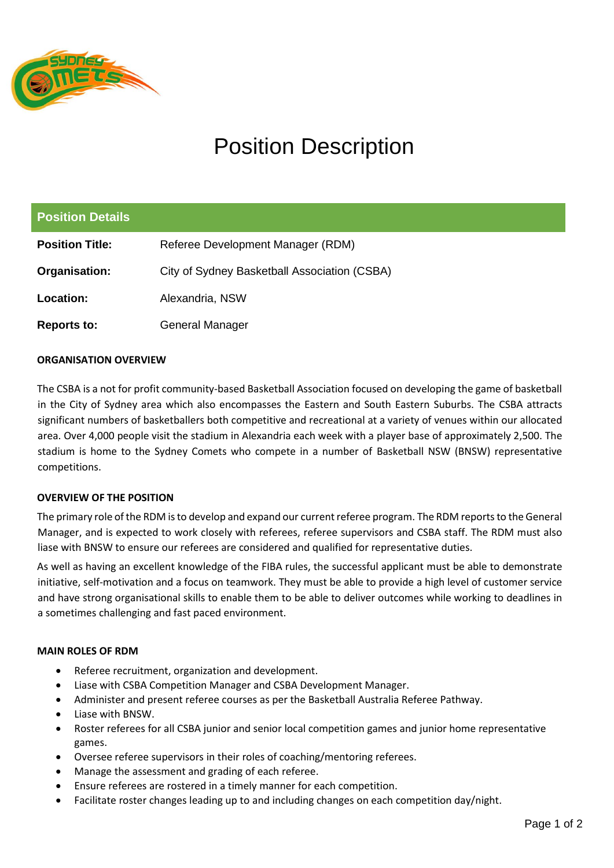

# Position Description

| <b>Position Details</b> |                                              |
|-------------------------|----------------------------------------------|
| <b>Position Title:</b>  | Referee Development Manager (RDM)            |
| Organisation:           | City of Sydney Basketball Association (CSBA) |
| Location:               | Alexandria, NSW                              |
| Reports to:             | General Manager                              |

### **ORGANISATION OVERVIEW**

The CSBA is a not for profit community-based Basketball Association focused on developing the game of basketball in the City of Sydney area which also encompasses the Eastern and South Eastern Suburbs. The CSBA attracts significant numbers of basketballers both competitive and recreational at a variety of venues within our allocated area. Over 4,000 people visit the stadium in Alexandria each week with a player base of approximately 2,500. The stadium is home to the Sydney Comets who compete in a number of Basketball NSW (BNSW) representative competitions.

### **OVERVIEW OF THE POSITION**

The primary role of the RDM is to develop and expand our current referee program. The RDM reports to the General Manager, and is expected to work closely with referees, referee supervisors and CSBA staff. The RDM must also liase with BNSW to ensure our referees are considered and qualified for representative duties.

As well as having an excellent knowledge of the FIBA rules, the successful applicant must be able to demonstrate initiative, self-motivation and a focus on teamwork. They must be able to provide a high level of customer service and have strong organisational skills to enable them to be able to deliver outcomes while working to deadlines in a sometimes challenging and fast paced environment.

### **MAIN ROLES OF RDM**

- Referee recruitment, organization and development.
- Liase with CSBA Competition Manager and CSBA Development Manager.
- Administer and present referee courses as per the Basketball Australia Referee Pathway.
- Liase with BNSW.
- Roster referees for all CSBA junior and senior local competition games and junior home representative games.
- Oversee referee supervisors in their roles of coaching/mentoring referees.
- Manage the assessment and grading of each referee.
- Ensure referees are rostered in a timely manner for each competition.
- Facilitate roster changes leading up to and including changes on each competition day/night.